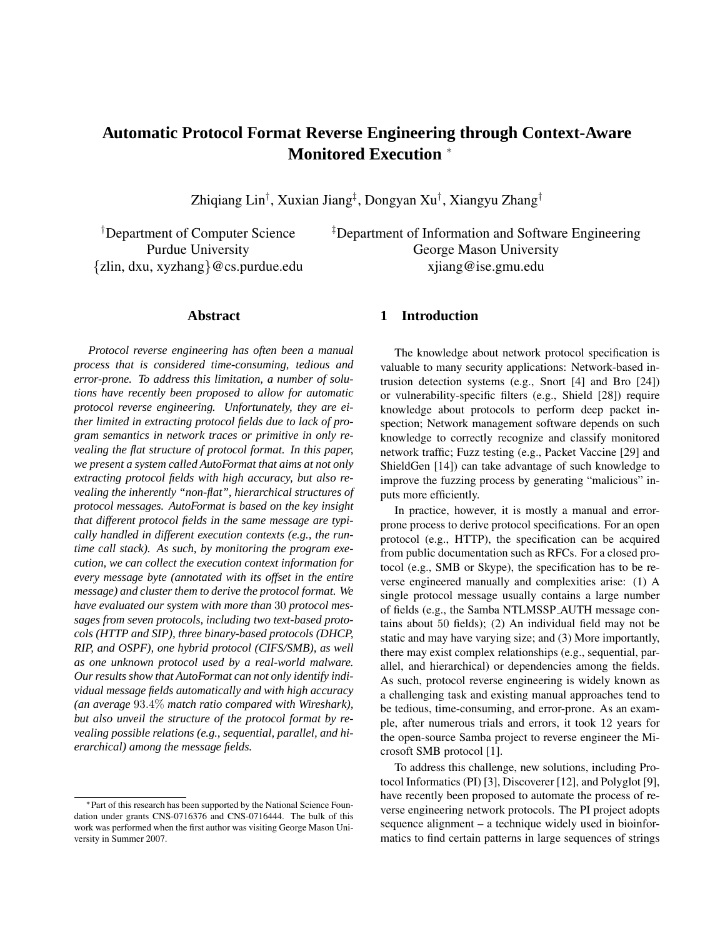# **Automatic Protocol Format Reverse Engineering through Context-Aware Monitored Execution** <sup>∗</sup>

Zhiqiang Lin<sup>†</sup>, Xuxian Jiang<sup>‡</sup>, Dongyan Xu<sup>†</sup>, Xiangyu Zhang<sup>†</sup>

{zlin, dxu, xyzhang}@cs.purdue.edu xjiang@ise.gmu.edu

†Department of Computer Science ‡Department of Information and Software Engineering Purdue University George Mason University

#### **Abstract**

*Protocol reverse engineering has often been a manual process that is considered time-consuming, tedious and error-prone. To address this limitation, a number of solutions have recently been proposed to allow for automatic protocol reverse engineering. Unfortunately, they are either limited in extracting protocol fields due to lack of program semantics in network traces or primitive in only revealing the flat structure of protocol format. In this paper, we present a system called AutoFormat that aims at not only extracting protocol fields with high accuracy, but also revealing the inherently "non-flat", hierarchical structures of protocol messages. AutoFormat is based on the key insight that different protocol fields in the same message are typically handled in different execution contexts (e.g., the runtime call stack). As such, by monitoring the program execution, we can collect the execution context information for every message byte (annotated with its offset in the entire message) and cluster them to derive the protocol format. We have evaluated our system with more than* 30 *protocol messages from seven protocols, including two text-based protocols (HTTP and SIP), three binary-based protocols (DHCP, RIP, and OSPF), one hybrid protocol (CIFS/SMB), as well as one unknown protocol used by a real-world malware. Our results show that AutoFormat can not only identify individual message fields automatically and with high accuracy (an average* 93.4% *match ratio compared with Wireshark), but also unveil the structure of the protocol format by revealing possible relations (e.g., sequential, parallel, and hierarchical) among the message fields.*

#### **1 Introduction**

The knowledge about network protocol specification is valuable to many security applications: Network-based intrusion detection systems (e.g., Snort [4] and Bro [24]) or vulnerability-specific filters (e.g., Shield [28]) require knowledge about protocols to perform deep packet inspection; Network management software depends on such knowledge to correctly recognize and classify monitored network traffic; Fuzz testing (e.g., Packet Vaccine [29] and ShieldGen [14]) can take advantage of such knowledge to improve the fuzzing process by generating "malicious" inputs more efficiently.

In practice, however, it is mostly a manual and errorprone process to derive protocol specifications. For an open protocol (e.g., HTTP), the specification can be acquired from public documentation such as RFCs. For a closed protocol (e.g., SMB or Skype), the specification has to be reverse engineered manually and complexities arise: (1) A single protocol message usually contains a large number of fields (e.g., the Samba NTLMSSP AUTH message contains about 50 fields); (2) An individual field may not be static and may have varying size; and (3) More importantly, there may exist complex relationships (e.g., sequential, parallel, and hierarchical) or dependencies among the fields. As such, protocol reverse engineering is widely known as a challenging task and existing manual approaches tend to be tedious, time-consuming, and error-prone. As an example, after numerous trials and errors, it took 12 years for the open-source Samba project to reverse engineer the Microsoft SMB protocol [1].

To address this challenge, new solutions, including Protocol Informatics (PI) [3], Discoverer [12], and Polyglot [9], have recently been proposed to automate the process of reverse engineering network protocols. The PI project adopts sequence alignment – a technique widely used in bioinformatics to find certain patterns in large sequences of strings

<sup>∗</sup>Part of this research has been supported by the National Science Foundation under grants CNS-0716376 and CNS-0716444. The bulk of this work was performed when the first author was visiting George Mason University in Summer 2007.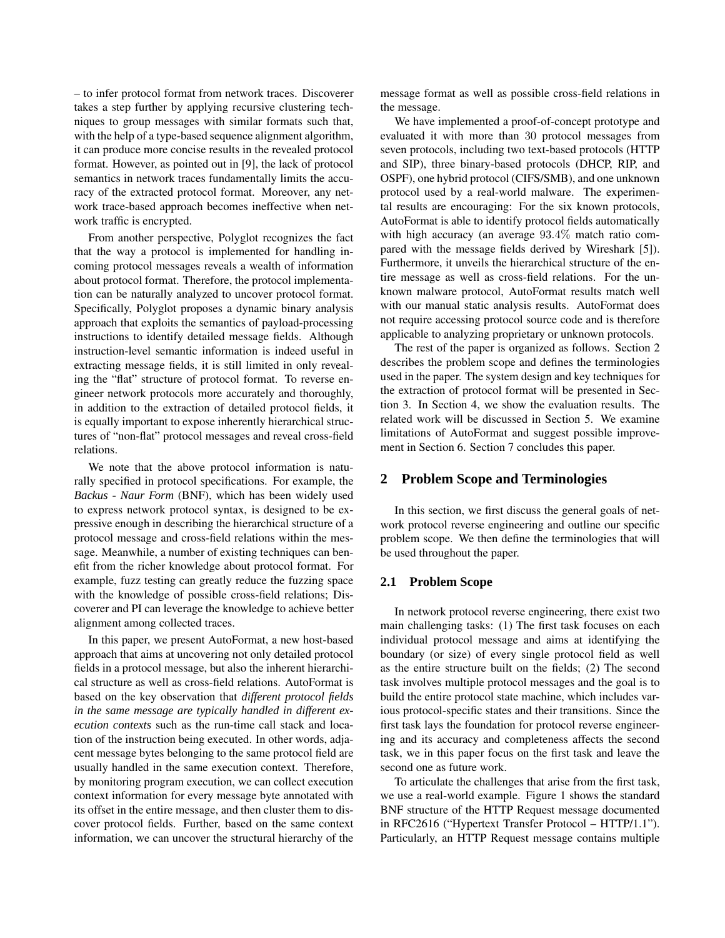– to infer protocol format from network traces. Discoverer takes a step further by applying recursive clustering techniques to group messages with similar formats such that, with the help of a type-based sequence alignment algorithm, it can produce more concise results in the revealed protocol format. However, as pointed out in [9], the lack of protocol semantics in network traces fundamentally limits the accuracy of the extracted protocol format. Moreover, any network trace-based approach becomes ineffective when network traffic is encrypted.

From another perspective, Polyglot recognizes the fact that the way a protocol is implemented for handling incoming protocol messages reveals a wealth of information about protocol format. Therefore, the protocol implementation can be naturally analyzed to uncover protocol format. Specifically, Polyglot proposes a dynamic binary analysis approach that exploits the semantics of payload-processing instructions to identify detailed message fields. Although instruction-level semantic information is indeed useful in extracting message fields, it is still limited in only revealing the "flat" structure of protocol format. To reverse engineer network protocols more accurately and thoroughly, in addition to the extraction of detailed protocol fields, it is equally important to expose inherently hierarchical structures of "non-flat" protocol messages and reveal cross-field relations.

We note that the above protocol information is naturally specified in protocol specifications. For example, the *Backus - Naur Form* (BNF), which has been widely used to express network protocol syntax, is designed to be expressive enough in describing the hierarchical structure of a protocol message and cross-field relations within the message. Meanwhile, a number of existing techniques can benefit from the richer knowledge about protocol format. For example, fuzz testing can greatly reduce the fuzzing space with the knowledge of possible cross-field relations; Discoverer and PI can leverage the knowledge to achieve better alignment among collected traces.

In this paper, we present AutoFormat, a new host-based approach that aims at uncovering not only detailed protocol fields in a protocol message, but also the inherent hierarchical structure as well as cross-field relations. AutoFormat is based on the key observation that *different protocol fields in the same message are typically handled in different execution contexts* such as the run-time call stack and location of the instruction being executed. In other words, adjacent message bytes belonging to the same protocol field are usually handled in the same execution context. Therefore, by monitoring program execution, we can collect execution context information for every message byte annotated with its offset in the entire message, and then cluster them to discover protocol fields. Further, based on the same context information, we can uncover the structural hierarchy of the

message format as well as possible cross-field relations in the message.

We have implemented a proof-of-concept prototype and evaluated it with more than 30 protocol messages from seven protocols, including two text-based protocols (HTTP and SIP), three binary-based protocols (DHCP, RIP, and OSPF), one hybrid protocol (CIFS/SMB), and one unknown protocol used by a real-world malware. The experimental results are encouraging: For the six known protocols, AutoFormat is able to identify protocol fields automatically with high accuracy (an average 93.4% match ratio compared with the message fields derived by Wireshark [5]). Furthermore, it unveils the hierarchical structure of the entire message as well as cross-field relations. For the unknown malware protocol, AutoFormat results match well with our manual static analysis results. AutoFormat does not require accessing protocol source code and is therefore applicable to analyzing proprietary or unknown protocols.

The rest of the paper is organized as follows. Section 2 describes the problem scope and defines the terminologies used in the paper. The system design and key techniques for the extraction of protocol format will be presented in Section 3. In Section 4, we show the evaluation results. The related work will be discussed in Section 5. We examine limitations of AutoFormat and suggest possible improvement in Section 6. Section 7 concludes this paper.

### **2 Problem Scope and Terminologies**

In this section, we first discuss the general goals of network protocol reverse engineering and outline our specific problem scope. We then define the terminologies that will be used throughout the paper.

#### **2.1 Problem Scope**

In network protocol reverse engineering, there exist two main challenging tasks: (1) The first task focuses on each individual protocol message and aims at identifying the boundary (or size) of every single protocol field as well as the entire structure built on the fields; (2) The second task involves multiple protocol messages and the goal is to build the entire protocol state machine, which includes various protocol-specific states and their transitions. Since the first task lays the foundation for protocol reverse engineering and its accuracy and completeness affects the second task, we in this paper focus on the first task and leave the second one as future work.

To articulate the challenges that arise from the first task, we use a real-world example. Figure 1 shows the standard BNF structure of the HTTP Request message documented in RFC2616 ("Hypertext Transfer Protocol – HTTP/1.1"). Particularly, an HTTP Request message contains multiple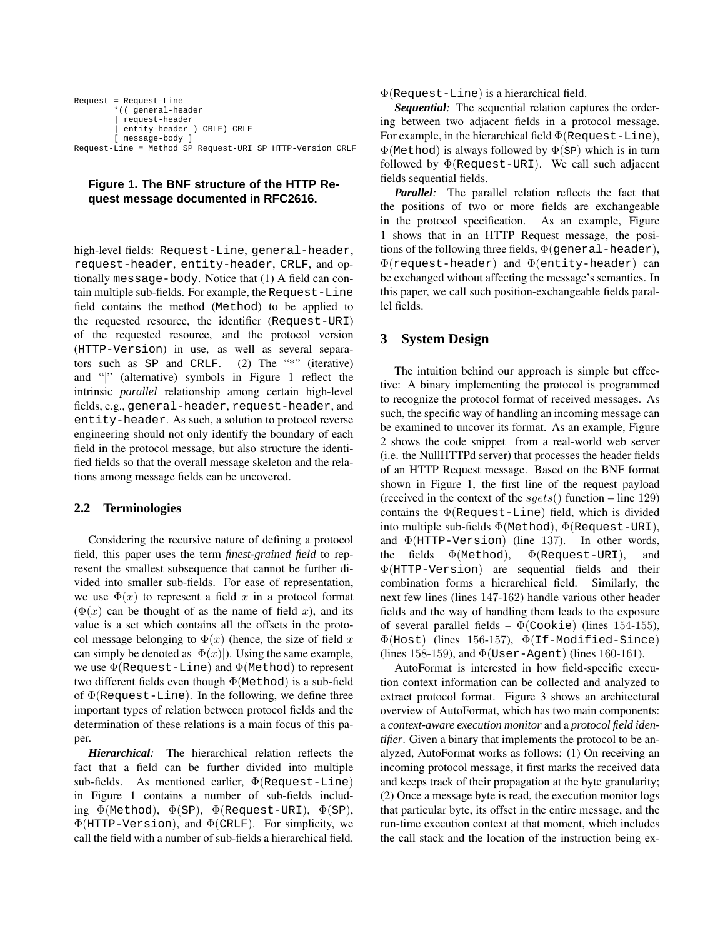```
Request = Request-Line
        *(( general-header
        | request-header
         entity-header ) CRLF) CRLF
        [ message-body ]
Request-Line = Method SP Request-URI SP HTTP-Version CRLF
```
## **Figure 1. The BNF structure of the HTTP Request message documented in RFC2616.**

high-level fields: Request-Line, general-header, request-header, entity-header, CRLF, and optionally message-body. Notice that (1) A field can contain multiple sub-fields. For example, the Request-Line field contains the method (Method) to be applied to the requested resource, the identifier (Request-URI) of the requested resource, and the protocol version (HTTP-Version) in use, as well as several separators such as SP and CRLF. (2) The "\*" (iterative) and "|" (alternative) symbols in Figure 1 reflect the intrinsic *parallel* relationship among certain high-level fields, e.g., general-header, request-header, and entity-header. As such, a solution to protocol reverse engineering should not only identify the boundary of each field in the protocol message, but also structure the identified fields so that the overall message skeleton and the relations among message fields can be uncovered.

## **2.2 Terminologies**

Considering the recursive nature of defining a protocol field, this paper uses the term *finest-grained field* to represent the smallest subsequence that cannot be further divided into smaller sub-fields. For ease of representation, we use  $\Phi(x)$  to represent a field x in a protocol format  $(\Phi(x))$  can be thought of as the name of field x), and its value is a set which contains all the offsets in the protocol message belonging to  $\Phi(x)$  (hence, the size of field x can simply be denoted as  $|\Phi(x)|$ ). Using the same example, we use  $\Phi$ (Request-Line) and  $\Phi$ (Method) to represent two different fields even though Φ(Method) is a sub-field of  $\Phi$ (Request-Line). In the following, we define three important types of relation between protocol fields and the determination of these relations is a main focus of this paper.

*Hierarchical:* The hierarchical relation reflects the fact that a field can be further divided into multiple sub-fields. As mentioned earlier, Φ(Request-Line) in Figure 1 contains a number of sub-fields including  $\Phi$ (Method),  $\Phi$ (SP),  $\Phi$ (Request-URI),  $\Phi$ (SP), Φ(HTTP-Version), and Φ(CRLF). For simplicity, we call the field with a number of sub-fields a hierarchical field.

 $\Phi$ (Request-Line) is a hierarchical field.

*Sequential:* The sequential relation captures the ordering between two adjacent fields in a protocol message. For example, in the hierarchical field  $\Phi$ (Request-Line),  $\Phi$ (Method) is always followed by  $\Phi$ (SP) which is in turn followed by  $\Phi$ (Request-URI). We call such adjacent fields sequential fields.

*Parallel:* The parallel relation reflects the fact that the positions of two or more fields are exchangeable in the protocol specification. As an example, Figure 1 shows that in an HTTP Request message, the positions of the following three fields,  $\Phi$ (general-header), Φ(request-header) and Φ(entity-header) can be exchanged without affecting the message's semantics. In this paper, we call such position-exchangeable fields parallel fields.

# **3 System Design**

The intuition behind our approach is simple but effective: A binary implementing the protocol is programmed to recognize the protocol format of received messages. As such, the specific way of handling an incoming message can be examined to uncover its format. As an example, Figure 2 shows the code snippet from a real-world web server (i.e. the NullHTTPd server) that processes the header fields of an HTTP Request message. Based on the BNF format shown in Figure 1, the first line of the request payload (received in the context of the  $sgets()$  function – line 129) contains the  $\Phi$ (Request-Line) field, which is divided into multiple sub-fields  $\Phi$ (Method),  $\Phi$ (Request-URI), and  $\Phi$ (HTTP-Version) (line 137). In other words, the fields  $\Phi$ (Method),  $\Phi$ (Request-URI), and Φ(HTTP-Version) are sequential fields and their combination forms a hierarchical field. Similarly, the next few lines (lines 147-162) handle various other header fields and the way of handling them leads to the exposure of several parallel fields –  $\Phi$ (Cookie) (lines 154-155),  $\Phi$ (Host) (lines 156-157),  $\Phi$ (If-Modified-Since) (lines 158-159), and  $\Phi$ (User-Agent) (lines 160-161).

AutoFormat is interested in how field-specific execution context information can be collected and analyzed to extract protocol format. Figure 3 shows an architectural overview of AutoFormat, which has two main components: a *context-aware execution monitor* and a *protocol field identifier*. Given a binary that implements the protocol to be analyzed, AutoFormat works as follows: (1) On receiving an incoming protocol message, it first marks the received data and keeps track of their propagation at the byte granularity; (2) Once a message byte is read, the execution monitor logs that particular byte, its offset in the entire message, and the run-time execution context at that moment, which includes the call stack and the location of the instruction being ex-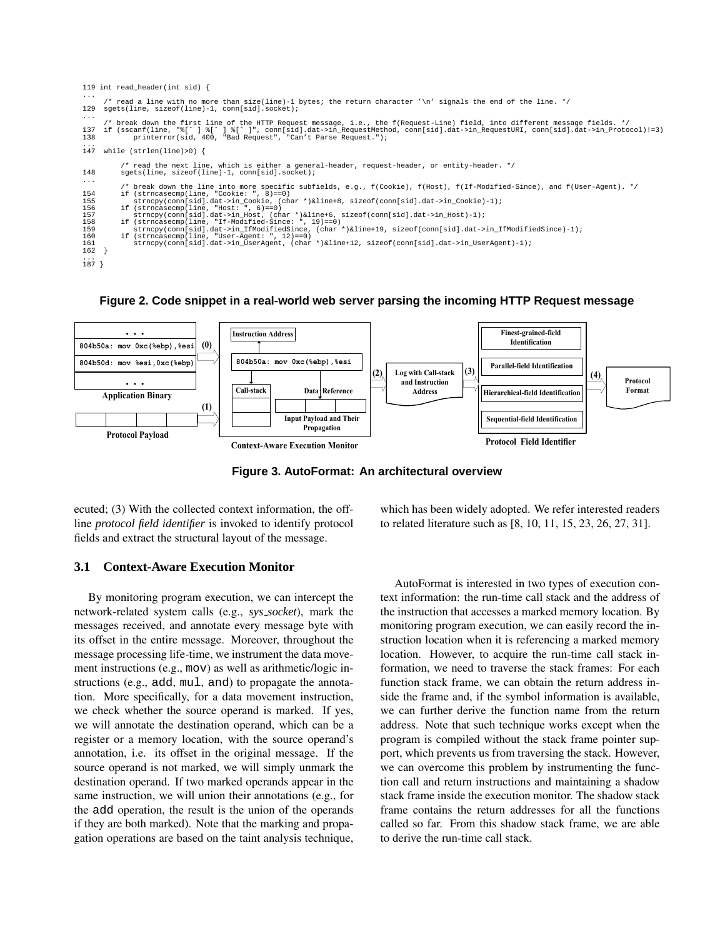|                                                                         | 119 int read header(int sid) {                                                                                                                                                                                                                                                                                                                                                                                                                                                                                                                                                                                                                                                                                                      |
|-------------------------------------------------------------------------|-------------------------------------------------------------------------------------------------------------------------------------------------------------------------------------------------------------------------------------------------------------------------------------------------------------------------------------------------------------------------------------------------------------------------------------------------------------------------------------------------------------------------------------------------------------------------------------------------------------------------------------------------------------------------------------------------------------------------------------|
| $\cdots$<br>129                                                         | /* read a line with no more than size(line)-1 bytes; the return character '\n' signals the end of the line. */<br>sgets(line, sizeof(line)-1, conn[sid].socket);                                                                                                                                                                                                                                                                                                                                                                                                                                                                                                                                                                    |
| $\cdot$<br>137<br>138                                                   | /* break down the first line of the HTTP Request message, i.e., the f(Request-Line) field, into different message fields. */<br>if (sscanf(line, "%[^] %[^]", conn[sid].dat->in RequestMethod, conn[sid].dat->in RequestURI, conn[sid].dat->in Protocol)!=3)<br>printerror(sid, 400, "Bad Request", "Can't Parse Request.");                                                                                                                                                                                                                                                                                                                                                                                                        |
| $\cdots$<br>147                                                         | while $(strlen(line) > 0)$ {                                                                                                                                                                                                                                                                                                                                                                                                                                                                                                                                                                                                                                                                                                        |
| 148                                                                     | /* read the next line, which is either a general-header, request-header, or entity-header. */<br>sqets(line, sizeof(line)-1, conn[sid].socket);                                                                                                                                                                                                                                                                                                                                                                                                                                                                                                                                                                                     |
| $\cdots$<br>154<br>155<br>156<br>157<br>158<br>159<br>160<br>161<br>162 | /* break down the line into more specific subfields, e.g., f(Cookie), f(Host), f(If-Modified-Since), and f(User-Agent). */<br>if (strncasecmp(line, "Cookie: ", 8)==0)<br>strncpy(conn[sid].dat->in Cookie, (char *)&line+8, sizeof(conn[sid].dat->in Cookie)-1);<br>if (strncasecmp(line, "Host: ", $6$ ) == 0)<br>strncpy(conn[sid].dat->in Host, (char *)&line+6, sizeof(conn[sid].dat->in Host)-1);<br>if (strncasecmp(line, "If-Modified-Since: ", 19) == 0)<br>strncpy(conn[sid].dat->in IfModifiedSince, (char *)&line+19, sizeof(conn[sid].dat->in IfModifiedSince)-1);<br>if $(strncasecmp(line, "User-Aqent: ", 12)=0)$<br>strncpy(conn[sid].dat->in UserAgent, (char *)&line+12, sizeof(conn[sid].dat->in UserAgent)-1); |
| $\cdots$<br>187                                                         |                                                                                                                                                                                                                                                                                                                                                                                                                                                                                                                                                                                                                                                                                                                                     |

**Figure 2. Code snippet in a real-world web server parsing the incoming HTTP Request message**



**Figure 3. AutoFormat: An architectural overview**

ecuted; (3) With the collected context information, the offline *protocol field identifier* is invoked to identify protocol fields and extract the structural layout of the message.

which has been widely adopted. We refer interested readers to related literature such as [8, 10, 11, 15, 23, 26, 27, 31].

## **3.1 Context-Aware Execution Monitor**

By monitoring program execution, we can intercept the network-related system calls (e.g., *sys socket*), mark the messages received, and annotate every message byte with its offset in the entire message. Moreover, throughout the message processing life-time, we instrument the data movement instructions (e.g., mov) as well as arithmetic/logic instructions (e.g., add, mul, and) to propagate the annotation. More specifically, for a data movement instruction, we check whether the source operand is marked. If yes, we will annotate the destination operand, which can be a register or a memory location, with the source operand's annotation, i.e. its offset in the original message. If the source operand is not marked, we will simply unmark the destination operand. If two marked operands appear in the same instruction, we will union their annotations (e.g., for the add operation, the result is the union of the operands if they are both marked). Note that the marking and propagation operations are based on the taint analysis technique,

AutoFormat is interested in two types of execution context information: the run-time call stack and the address of the instruction that accesses a marked memory location. By monitoring program execution, we can easily record the instruction location when it is referencing a marked memory location. However, to acquire the run-time call stack information, we need to traverse the stack frames: For each function stack frame, we can obtain the return address inside the frame and, if the symbol information is available, we can further derive the function name from the return address. Note that such technique works except when the program is compiled without the stack frame pointer support, which prevents us from traversing the stack. However, we can overcome this problem by instrumenting the function call and return instructions and maintaining a shadow stack frame inside the execution monitor. The shadow stack frame contains the return addresses for all the functions called so far. From this shadow stack frame, we are able to derive the run-time call stack.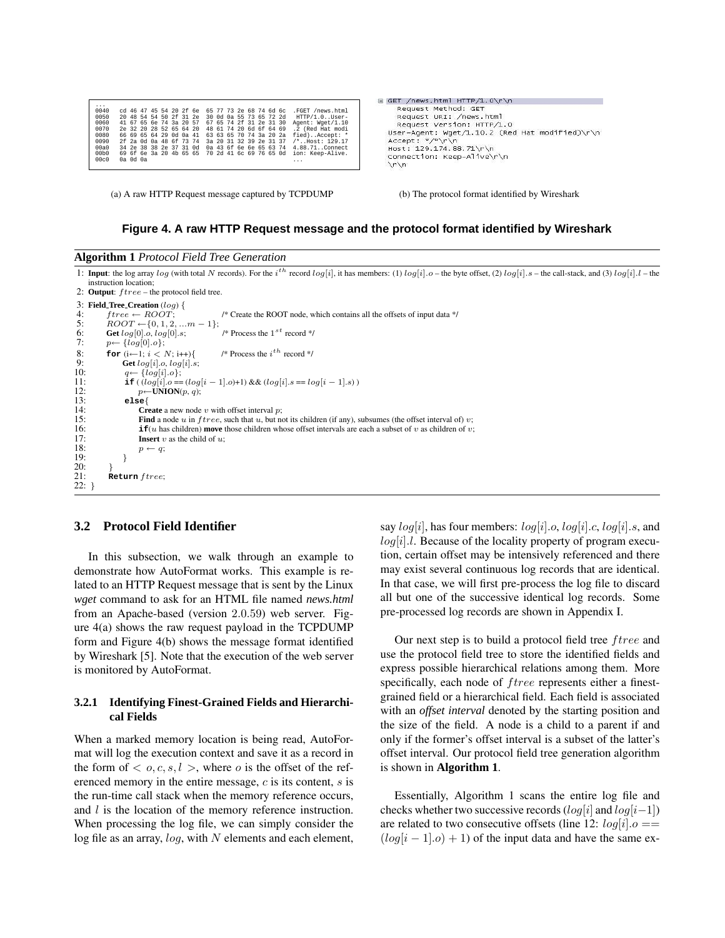| .                 |          |                         |  |  |                                                 |                         |  |                         |  |                                                                  |
|-------------------|----------|-------------------------|--|--|-------------------------------------------------|-------------------------|--|-------------------------|--|------------------------------------------------------------------|
| 0040              |          |                         |  |  | cd 46 47 45 54 20 2f 6e 65 77 73 2e 68 74 6d 6c |                         |  |                         |  | .FGET /news.html                                                 |
| 0050              |          |                         |  |  | 20 48 54 54 50 2f 31 2e                         |                         |  | 30 0d 0a 55 73 65 72 2d |  | HTTP/1.0User-                                                    |
| 0060              |          | 41 67 65 6e 74 3a 20 57 |  |  |                                                 |                         |  | 67 65 74 2f 31 2e 31 30 |  | Agent: Wget/1.10                                                 |
| 0070              |          | 2e 32 20 28 52 65 64 20 |  |  |                                                 |                         |  | 48 61 74 20 6d 6f 64 69 |  | .2 (Red Hat modi                                                 |
| 0080              |          | 66 69 65 64 29 0d 0a 41 |  |  |                                                 |                         |  | 63 63 65 70 74 3a 20 2a |  | fied)Accept: *                                                   |
| 0090              |          | 2f 2a 0d 0a 48 6f 73 74 |  |  |                                                 | 3a 20 31 32 39 2e 31 37 |  |                         |  | /*Host: 129.17                                                   |
| 00a0              |          |                         |  |  |                                                 |                         |  |                         |  | 34 2e 38 38 2e 37 31 0d 0a 43 6f 6e 6e 65 63 74 4.88.71Connect   |
| 00 <sub>b</sub> 0 |          |                         |  |  |                                                 |                         |  |                         |  | 69 6f 6e 3a 20 4b 65 65 70 2d 41 6c 69 76 65 0d ion: Keep-Alive. |
| 00c0              | 0a 0d 0a |                         |  |  |                                                 |                         |  |                         |  | .                                                                |
|                   |          |                         |  |  |                                                 |                         |  |                         |  |                                                                  |

(a) A raw HTTP Request message captured by TCPDUMP (b) The protocol format identified by Wireshark

```
⊟ GET /news.html HTTP/1.0\r\n
    Request Method: GET<br>Request URI: /news.html
     Request Version: HTTP/1.0
  User-Agent: Wget/1.10.2 (Red Hat modified)\r\n
  Accept: "/"\r\n
  Host: 129.174.88.71\r\n
  Connection: Keep-Alive\r\n
  \nr \nightharpoonup n
```
#### **Figure 4. A raw HTTP Request message and the protocol format identified by Wireshark**

|  | <b>Algorithm 1 Protocol Field Tree Generation</b> |
|--|---------------------------------------------------|
|--|---------------------------------------------------|

1: **Input**: the log array log (with total N records). For the i<sup>th</sup> record log[i], it has members: (1) log[i].o – the byte offset, (2) log[i].s – the call-stack, and (3) log[i].l – the instruction location;

2: Output:  $ftree$  – the protocol field tree.

```
3: Field Tree Creation (log) {<br>4 \cdot \quad \text{free} \leftarrow \text{BNOT}4: ftree \leftarrow ROOT; /* Create the ROOT node, which contains all the offsets of input data */<br>5: ROOT \leftarrow \{0, 1, 2, ..., m-1\};4: free \leftarrow ROOT;<br>5: ROOT \leftarrow \{0, 1, 2, ... m - 1\};<br>6: Get log[0].o, log[0].s;6: Get log[0].o, log[0].s;<br>7: p \leftarrow {log[0] \alpha}
                                                                     /* Process the 1^{\,st} record */
 7: p \leftarrow \{log[0].o\};<br>8: for (i \leftarrow 1; i <8: for (i \leftarrow 1; i < N; i++){<br>9: Get loa[i], o, loa[i], s
                                                                    /* Process the i^{th} record */
9: Get log[i] \cdot o, log[i] \cdot s;<br>10: q \leftarrow \{log[i] \cdot o\};
 10: q \leftarrow \{log[i].o\};<br>
11: if ( (log[i].o == (log[i - 1].o) + 1) && (log[i].s == log[i - 1].s )
12: p \leftarrow \text{UNION}(p, q);<br>13: else{
13: else{
14: Create a new node v with offset interval p;<br>15: Find a node u in three, such that u, but no
15: Find a node u in f tree, such that u, but not its children (if any), subsumes (the offset interval of) v;<br>16: if(u has children) move those children whose offset intervals are each a subset of v as children of
16: if(u has children) move those children whose offset intervals are each a subset of v as children of v;<br>17: Insert v as the child of u:
17: Insert v as the child of u;<br>18: p \leftarrow a:
                       \begin{array}{c} p \leftarrow q; \\ \end{array}19:\frac{20}{21}Return free;\overline{22}:
```
## **3.2 Protocol Field Identifier**

In this subsection, we walk through an example to demonstrate how AutoFormat works. This example is related to an HTTP Request message that is sent by the Linux *wget* command to ask for an HTML file named *news.html* from an Apache-based (version 2.0.59) web server. Figure 4(a) shows the raw request payload in the TCPDUMP form and Figure 4(b) shows the message format identified by Wireshark [5]. Note that the execution of the web server is monitored by AutoFormat.

#### **3.2.1 Identifying Finest-Grained Fields and Hierarchical Fields**

When a marked memory location is being read, AutoFormat will log the execution context and save it as a record in the form of  $\langle o, c, s, l \rangle$ , where o is the offset of the referenced memory in the entire message, c is its content, s is the run-time call stack when the memory reference occurs, and *l* is the location of the memory reference instruction. When processing the log file, we can simply consider the log file as an array,  $log$ , with  $N$  elements and each element,

say  $log[i]$ , has four members:  $log[i]$ .o,  $log[i]$ .c,  $log[i]$ .s, and  $log[i]$ . Because of the locality property of program execution, certain offset may be intensively referenced and there may exist several continuous log records that are identical. In that case, we will first pre-process the log file to discard all but one of the successive identical log records. Some pre-processed log records are shown in Appendix I.

Our next step is to build a protocol field tree *ftree* and use the protocol field tree to store the identified fields and express possible hierarchical relations among them. More specifically, each node of *ftree* represents either a finestgrained field or a hierarchical field. Each field is associated with an *offset interval* denoted by the starting position and the size of the field. A node is a child to a parent if and only if the former's offset interval is a subset of the latter's offset interval. Our protocol field tree generation algorithm is shown in **Algorithm 1**.

Essentially, Algorithm 1 scans the entire log file and checks whether two successive records  $(log[i]$  and  $log[i-1])$ are related to two consecutive offsets (line 12:  $log[i].o ==$  $(log[i - 1].o) + 1$  of the input data and have the same ex-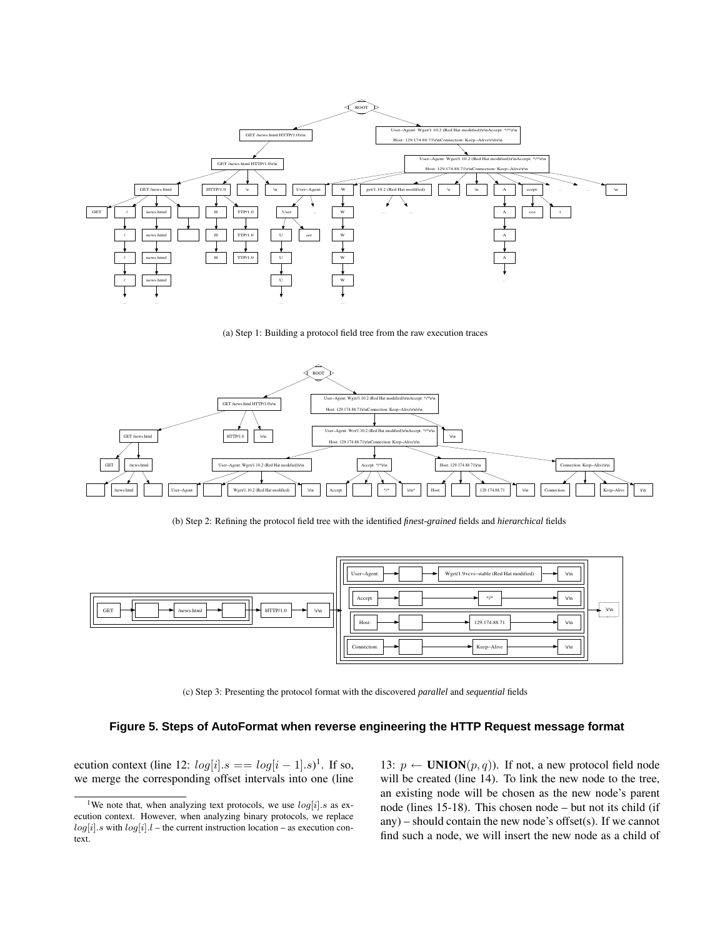

(a) Step 1: Building a protocol field tree from the raw execution traces



(b) Step 2: Refining the protocol field tree with the identified *finest-grained* fields and *hierarchical* fields



(c) Step 3: Presenting the protocol format with the discovered *parallel* and *sequential* fields

#### **Figure 5. Steps of AutoFormat when reverse engineering the HTTP Request message format**

ecution context (line 12:  $log[i].s == log[i-1].s$ <sup>1</sup>. If so, we merge the corresponding offset intervals into one (line

13:  $p \leftarrow$  **UNION** $(p, q)$ ). If not, a new protocol field node will be created (line 14). To link the new node to the tree, an existing node will be chosen as the new node's parent node (lines 15-18). This chosen node – but not its child (if any) – should contain the new node's offset(s). If we cannot find such a node, we will insert the new node as a child of

<sup>&</sup>lt;sup>1</sup>We note that, when analyzing text protocols, we use  $log[i].s$  as execution context. However, when analyzing binary protocols, we replace  $log[i].s$  with  $log[i].l$  – the current instruction location – as execution context.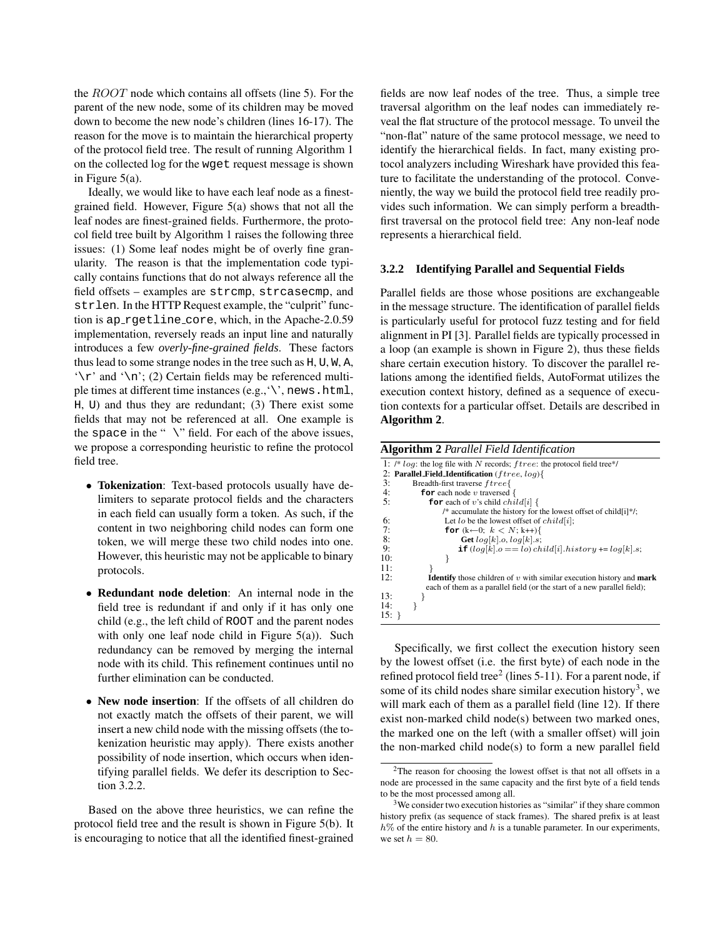the ROOT node which contains all offsets (line 5). For the parent of the new node, some of its children may be moved down to become the new node's children (lines 16-17). The reason for the move is to maintain the hierarchical property of the protocol field tree. The result of running Algorithm 1 on the collected log for the wget request message is shown in Figure 5(a).

Ideally, we would like to have each leaf node as a finestgrained field. However, Figure 5(a) shows that not all the leaf nodes are finest-grained fields. Furthermore, the protocol field tree built by Algorithm 1 raises the following three issues: (1) Some leaf nodes might be of overly fine granularity. The reason is that the implementation code typically contains functions that do not always reference all the field offsets – examples are strcmp, strcasecmp, and strlen. In the HTTP Request example, the "culprit" function is ap rgetline core, which, in the Apache-2.0.59 implementation, reversely reads an input line and naturally introduces a few *overly-fine-grained fields*. These factors thus lead to some strange nodes in the tree such as H, U, W, A,  $\lq$  and  $\lq$  (2) Certain fields may be referenced multiple times at different time instances  $(e.g., \backslash, \text{news.html},$ H, U) and thus they are redundant; (3) There exist some fields that may not be referenced at all. One example is the space in the " $\vee$ " field. For each of the above issues, we propose a corresponding heuristic to refine the protocol field tree.

- **Tokenization**: Text-based protocols usually have delimiters to separate protocol fields and the characters in each field can usually form a token. As such, if the content in two neighboring child nodes can form one token, we will merge these two child nodes into one. However, this heuristic may not be applicable to binary protocols.
- **Redundant node deletion**: An internal node in the field tree is redundant if and only if it has only one child (e.g., the left child of ROOT and the parent nodes with only one leaf node child in Figure 5(a)). Such redundancy can be removed by merging the internal node with its child. This refinement continues until no further elimination can be conducted.
- **New node insertion**: If the offsets of all children do not exactly match the offsets of their parent, we will insert a new child node with the missing offsets (the tokenization heuristic may apply). There exists another possibility of node insertion, which occurs when identifying parallel fields. We defer its description to Section 3.2.2.

Based on the above three heuristics, we can refine the protocol field tree and the result is shown in Figure 5(b). It is encouraging to notice that all the identified finest-grained

fields are now leaf nodes of the tree. Thus, a simple tree traversal algorithm on the leaf nodes can immediately reveal the flat structure of the protocol message. To unveil the "non-flat" nature of the same protocol message, we need to identify the hierarchical fields. In fact, many existing protocol analyzers including Wireshark have provided this feature to facilitate the understanding of the protocol. Conveniently, the way we build the protocol field tree readily provides such information. We can simply perform a breadthfirst traversal on the protocol field tree: Any non-leaf node represents a hierarchical field.

#### **3.2.2 Identifying Parallel and Sequential Fields**

Parallel fields are those whose positions are exchangeable in the message structure. The identification of parallel fields is particularly useful for protocol fuzz testing and for field alignment in PI [3]. Parallel fields are typically processed in a loop (an example is shown in Figure 2), thus these fields share certain execution history. To discover the parallel relations among the identified fields, AutoFormat utilizes the execution context history, defined as a sequence of execution contexts for a particular offset. Details are described in **Algorithm 2**.

**Algorithm 2** *Parallel Field Identification*

|     | 1: /* $log$ : the log file with N records; $three$ : the protocol field tree*/       |
|-----|--------------------------------------------------------------------------------------|
|     | 2: Parallel Field Identification ( <i>ftree, log</i> ){                              |
| 3:  | Breadth-first traverse ftree{                                                        |
| 4:  | <b>for</b> each node v traversed $\{$                                                |
| 5:  | <b>for</b> each of v's child <i>child</i> [i] {                                      |
|     | /* accumulate the history for the lowest offset of child [i]*/;                      |
| 6:  | Let lo be the lowest offset of $child[i]$ ;                                          |
| 7:  | for $(k-0; k < N; k++)$                                                              |
| 8:  | Get $log[k].o, log[k].s;$                                                            |
| 9:  | <b>if</b> $(log[k], o == lo) child[i].history += log[k], s;$                         |
| 10: |                                                                                      |
| 11: |                                                                                      |
| 12: | <b>Identify</b> those children of $v$ with similar execution history and <b>mark</b> |
|     | each of them as a parallel field (or the start of a new parallel field);             |
| 13: |                                                                                      |
| 14: |                                                                                      |
| 15: |                                                                                      |
|     |                                                                                      |

Specifically, we first collect the execution history seen by the lowest offset (i.e. the first byte) of each node in the refined protocol field tree<sup>2</sup> (lines 5-11). For a parent node, if some of its child nodes share similar execution history<sup>3</sup>, we will mark each of them as a parallel field (line 12). If there exist non-marked child node(s) between two marked ones, the marked one on the left (with a smaller offset) will join the non-marked child node(s) to form a new parallel field

<sup>&</sup>lt;sup>2</sup>The reason for choosing the lowest offset is that not all offsets in a node are processed in the same capacity and the first byte of a field tends to be the most processed among all.

<sup>&</sup>lt;sup>3</sup>We consider two execution histories as "similar" if they share common history prefix (as sequence of stack frames). The shared prefix is at least  $h\%$  of the entire history and h is a tunable parameter. In our experiments, we set  $h = 80$ .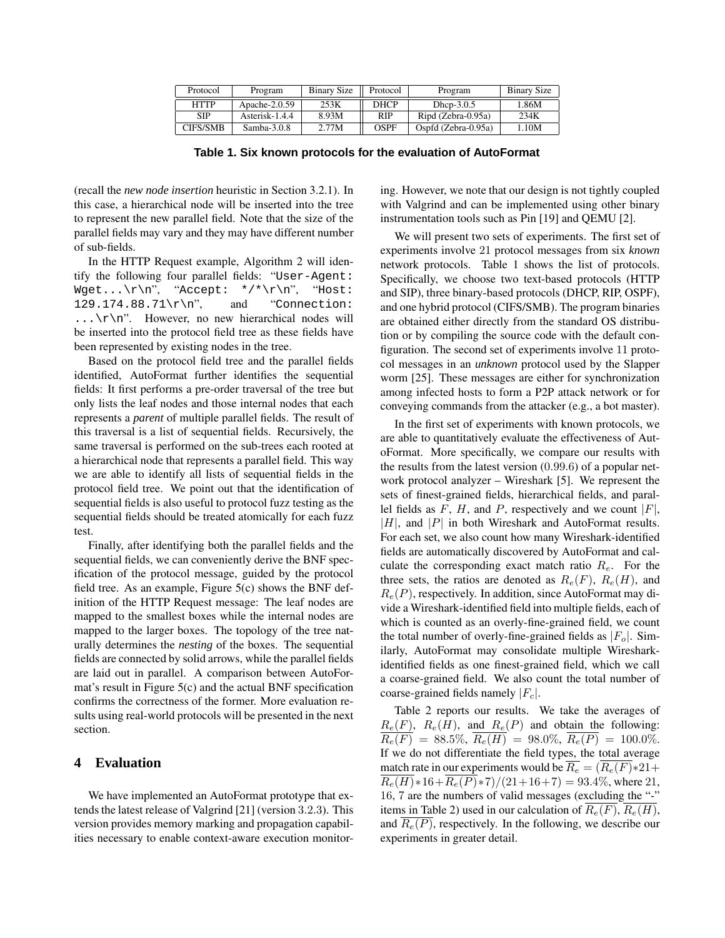| Protocol        | Program          | Binary Size | Protocol    | Program             | <b>Binary Size</b> |
|-----------------|------------------|-------------|-------------|---------------------|--------------------|
| <b>HTTP</b>     | Apache- $2.0.59$ | 253K        | <b>DHCP</b> | Dhcp- $3.0.5$       | 1.86M              |
| <b>SIP</b>      | Asterisk-1.4.4   | 8.93M       | <b>RIP</b>  | Ripd (Zebra-0.95a)  | 234K               |
| <b>CIFS/SMB</b> | $Samba-3.0.8$    | 2.77M       | OSPF        | Ospfd (Zebra-0.95a) | .10M               |

**Table 1. Six known protocols for the evaluation of AutoFormat**

(recall the *new node insertion* heuristic in Section 3.2.1). In this case, a hierarchical node will be inserted into the tree to represent the new parallel field. Note that the size of the parallel fields may vary and they may have different number of sub-fields.

In the HTTP Request example, Algorithm 2 will identify the following four parallel fields: "User-Agent:  $Wget...\\r\n$ ", "Accept: \*/\*\r\n", "Host: 129.174.88.71\r\n", and "Connection:  $\ldots$  \r\n". However, no new hierarchical nodes will be inserted into the protocol field tree as these fields have been represented by existing nodes in the tree.

Based on the protocol field tree and the parallel fields identified, AutoFormat further identifies the sequential fields: It first performs a pre-order traversal of the tree but only lists the leaf nodes and those internal nodes that each represents a *parent* of multiple parallel fields. The result of this traversal is a list of sequential fields. Recursively, the same traversal is performed on the sub-trees each rooted at a hierarchical node that represents a parallel field. This way we are able to identify all lists of sequential fields in the protocol field tree. We point out that the identification of sequential fields is also useful to protocol fuzz testing as the sequential fields should be treated atomically for each fuzz test.

Finally, after identifying both the parallel fields and the sequential fields, we can conveniently derive the BNF specification of the protocol message, guided by the protocol field tree. As an example, Figure 5(c) shows the BNF definition of the HTTP Request message: The leaf nodes are mapped to the smallest boxes while the internal nodes are mapped to the larger boxes. The topology of the tree naturally determines the *nesting* of the boxes. The sequential fields are connected by solid arrows, while the parallel fields are laid out in parallel. A comparison between AutoFormat's result in Figure 5(c) and the actual BNF specification confirms the correctness of the former. More evaluation results using real-world protocols will be presented in the next section.

## **4 Evaluation**

We have implemented an AutoFormat prototype that extends the latest release of Valgrind [21] (version 3.2.3). This version provides memory marking and propagation capabilities necessary to enable context-aware execution monitor-

ing. However, we note that our design is not tightly coupled with Valgrind and can be implemented using other binary instrumentation tools such as Pin [19] and QEMU [2].

We will present two sets of experiments. The first set of experiments involve 21 protocol messages from six *known* network protocols. Table 1 shows the list of protocols. Specifically, we choose two text-based protocols (HTTP and SIP), three binary-based protocols (DHCP, RIP, OSPF), and one hybrid protocol (CIFS/SMB). The program binaries are obtained either directly from the standard OS distribution or by compiling the source code with the default configuration. The second set of experiments involve 11 protocol messages in an *unknown* protocol used by the Slapper worm [25]. These messages are either for synchronization among infected hosts to form a P2P attack network or for conveying commands from the attacker (e.g., a bot master).

In the first set of experiments with known protocols, we are able to quantitatively evaluate the effectiveness of AutoFormat. More specifically, we compare our results with the results from the latest version (0.99.6) of a popular network protocol analyzer – Wireshark [5]. We represent the sets of finest-grained fields, hierarchical fields, and parallel fields as F, H, and P, respectively and we count  $|F|$ ,  $|H|$ , and  $|P|$  in both Wireshark and AutoFormat results. For each set, we also count how many Wireshark-identified fields are automatically discovered by AutoFormat and calculate the corresponding exact match ratio  $R_e$ . For the three sets, the ratios are denoted as  $R_e(F)$ ,  $R_e(H)$ , and  $R_e(P)$ , respectively. In addition, since AutoFormat may divide a Wireshark-identified field into multiple fields, each of which is counted as an overly-fine-grained field, we count the total number of overly-fine-grained fields as  $|F_o|$ . Similarly, AutoFormat may consolidate multiple Wiresharkidentified fields as one finest-grained field, which we call a coarse-grained field. We also count the total number of coarse-grained fields namely  $|F_c|$ .

Table 2 reports our results. We take the averages of  $R_e(F)$ ,  $R_e(H)$ , and  $R_e(P)$  and obtain the following:  $R_e(F) = 88.5\%, \overline{R_e(H)} = 98.0\%, \overline{R_e(P)} = 100.0\%.$ If we do not differentiate the field types, the total average match rate in our experiments would be  $\overline{R_e} = (R_e(F) * 21 +$  $\overline{R_e(H)}$ ∗16+ $\overline{R_e(P)}$ ∗7)/(21+16+7) = 93.4%, where 21, 16, 7 are the numbers of valid messages (excluding the "-" items in Table 2) used in our calculation of  $R_e(F)$ ,  $R_e(H)$ , and  $R_e(P)$ , respectively. In the following, we describe our experiments in greater detail.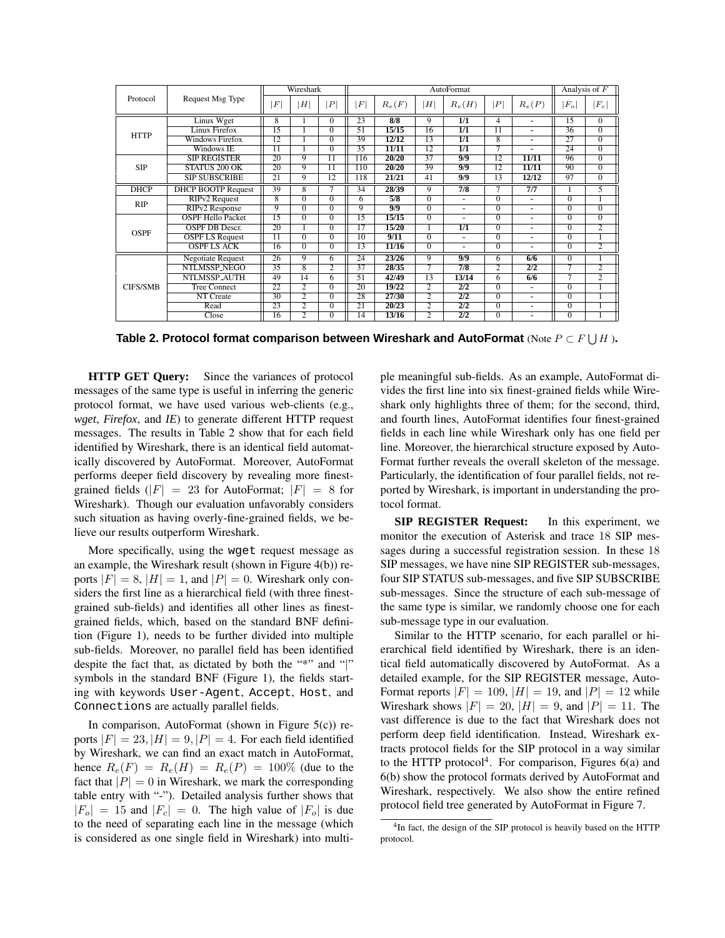|                 |                           |          | Wireshark      |                |     |          |                | AutoFormat               |                |                          |                | Analysis of $F$ |
|-----------------|---------------------------|----------|----------------|----------------|-----|----------|----------------|--------------------------|----------------|--------------------------|----------------|-----------------|
| Protocol        | Request Msg Type          | $\cal F$ | H <sup>1</sup> | P              | F   | $R_e(F)$ | H              | $R_e(H)$                 | P              | $R_e(P)$                 | $ F_o $        | $ F_c $         |
|                 | Linux Wget                | 8        |                | $\Omega$       | 23  | 8/8      | 9              | 1/1                      | 4              | ٠                        | 15             | $\theta$        |
| <b>HTTP</b>     | Linux Firefox             | 15       |                | $\overline{0}$ | 51  | 15/15    | 16             | 1/1                      | 11             | $\overline{a}$           | 36             | $\overline{0}$  |
|                 | <b>Windows Firefox</b>    | 12       |                | $\Omega$       | 39  | 12/12    | 13             | 1/1                      | 8              | $\blacksquare$           | 27             | $\overline{0}$  |
|                 | Windows IE                | 11       |                | $\mathbf{0}$   | 35  | 11/11    | 12             | 1/1                      | 7              |                          | 24             | $\Omega$        |
|                 | SIP REGISTER              | 20       | 9              | 11             | 116 | 20/20    | 37             | 9/9                      | 12             | 11/11                    | 96             | $\overline{0}$  |
| <b>SIP</b>      | STATUS 200 OK             | 20       | 9              | 11             | 110 | 20/20    | 39             | 9/9                      | 12             | 11/11                    | 90             | $\overline{0}$  |
|                 | <b>SIP SUBSCRIBE</b>      | 21       | 9              | 12             | 118 | 21/21    | 41             | 9/9                      | 13             | 12/12                    | 97             | $\Omega$        |
| <b>DHCP</b>     | <b>DHCP BOOTP Request</b> | 39       | 8              |                | 34  | 28/39    | 9              | 7/8                      | 7              | 7/7                      |                | 5               |
|                 | RIP <sub>v2</sub> Request | 8        | $\overline{0}$ | $\Omega$       | 6   | 5/8      | 0              | $\blacksquare$           | $\Omega$       | ٠                        | $\overline{0}$ |                 |
| RIP             | RIPv2 Response            | 9        | $\Omega$       | $\Omega$       | 9   | 9/9      | $\Omega$       | $\blacksquare$           | $\Omega$       | $\overline{\phantom{a}}$ | 0              | $\Omega$        |
|                 | <b>OSPF Hello Packet</b>  | 15       | $\overline{0}$ | $\Omega$       | 15  | 15/15    | 0              | $\overline{\phantom{a}}$ | $\overline{0}$ | $\blacksquare$           | $\Omega$       | $\overline{0}$  |
| <b>OSPF</b>     | OSPF DB Descr.            | 20       |                | 0              | 17  | 15/20    |                | 1/1                      | $\Omega$       | ۰                        | $^{(1)}$       | 2               |
|                 | <b>OSPF LS Request</b>    | 11       | $\Omega$       | $\Omega$       | 10  | 9/11     | 0              | $\blacksquare$           | $\Omega$       | ٠.                       | $\Omega$       |                 |
|                 | <b>OSPF LS ACK</b>        | 16       | $\Omega$       | $\Omega$       | 13  | 11/16    | $\Omega$       | $\blacksquare$           | $\Omega$       | ٠                        | $\Omega$       | $\overline{2}$  |
|                 | <b>Negotiate Request</b>  | 26       | 9              | 6              | 24  | 23/26    | 9              | 9/9                      | 6              | 6/6                      | $\Omega$       |                 |
|                 | <b>NTLMSSP NEGO</b>       | 35       | 8              | 2              | 37  | 28/35    | 7              | 7/8                      | 2              | 2/2                      | 7              | $\overline{2}$  |
|                 | NTLMSSP AUTH              | 49       | 14             | 6              | 51  | 42/49    | 13             | 13/14                    | 6              | 6/6                      |                | 2               |
| <b>CIFS/SMB</b> | <b>Tree Connect</b>       | 22       | 2              | $\overline{0}$ | 20  | 19/22    | 2              | 2/2                      | $\overline{0}$ |                          | $\Omega$       |                 |
|                 | NT Create                 | 30       | 2              | $\overline{0}$ | 28  | 27/30    | 2              | 2/2                      | $\overline{0}$ | ٠.                       | $\Omega$       |                 |
|                 | Read                      | 23       | 2              | $\overline{0}$ | 21  | 20/23    | $\overline{2}$ | 2/2                      | $\overline{0}$ | ٠                        | $\Omega$       |                 |
|                 | Close                     | 16       | 2              | $\Omega$       | 14  | 13/16    | 2              | 2/2                      | $\overline{0}$ | $\overline{\phantom{a}}$ | $\overline{0}$ |                 |

**Table 2. Protocol format comparison between Wireshark and AutoFormat** (Note P ⊂ F S H )**.**

**HTTP GET Query:** Since the variances of protocol messages of the same type is useful in inferring the generic protocol format, we have used various web-clients (e.g., *wget*, *Firefox*, and *IE*) to generate different HTTP request messages. The results in Table 2 show that for each field identified by Wireshark, there is an identical field automatically discovered by AutoFormat. Moreover, AutoFormat performs deeper field discovery by revealing more finestgrained fields  $(|F| = 23$  for AutoFormat;  $|F| = 8$  for Wireshark). Though our evaluation unfavorably considers such situation as having overly-fine-grained fields, we believe our results outperform Wireshark.

More specifically, using the wget request message as an example, the Wireshark result (shown in Figure 4(b)) reports  $|F| = 8$ ,  $|H| = 1$ , and  $|P| = 0$ . Wireshark only considers the first line as a hierarchical field (with three finestgrained sub-fields) and identifies all other lines as finestgrained fields, which, based on the standard BNF definition (Figure 1), needs to be further divided into multiple sub-fields. Moreover, no parallel field has been identified despite the fact that, as dictated by both the "\*" and "|" symbols in the standard BNF (Figure 1), the fields starting with keywords User-Agent, Accept, Host, and Connections are actually parallel fields.

In comparison, AutoFormat (shown in Figure  $5(c)$ ) reports  $|F| = 23$ ,  $|H| = 9$ ,  $|P| = 4$ . For each field identified by Wireshark, we can find an exact match in AutoFormat, hence  $R_e(F) = R_e(H) = R_e(P) = 100\%$  (due to the fact that  $|P| = 0$  in Wireshark, we mark the corresponding table entry with "-"). Detailed analysis further shows that  $|F_{o}| = 15$  and  $|F_{c}| = 0$ . The high value of  $|F_{o}|$  is due to the need of separating each line in the message (which is considered as one single field in Wireshark) into multi-

ple meaningful sub-fields. As an example, AutoFormat divides the first line into six finest-grained fields while Wireshark only highlights three of them; for the second, third, and fourth lines, AutoFormat identifies four finest-grained fields in each line while Wireshark only has one field per line. Moreover, the hierarchical structure exposed by Auto-Format further reveals the overall skeleton of the message. Particularly, the identification of four parallel fields, not reported by Wireshark, is important in understanding the protocol format.

**SIP REGISTER Request:** In this experiment, we monitor the execution of Asterisk and trace 18 SIP messages during a successful registration session. In these 18 SIP messages, we have nine SIP REGISTER sub-messages, four SIP STATUS sub-messages, and five SIP SUBSCRIBE sub-messages. Since the structure of each sub-message of the same type is similar, we randomly choose one for each sub-message type in our evaluation.

Similar to the HTTP scenario, for each parallel or hierarchical field identified by Wireshark, there is an identical field automatically discovered by AutoFormat. As a detailed example, for the SIP REGISTER message, Auto-Format reports  $|F| = 109$ ,  $|H| = 19$ , and  $|P| = 12$  while Wireshark shows  $|F| = 20$ ,  $|H| = 9$ , and  $|P| = 11$ . The vast difference is due to the fact that Wireshark does not perform deep field identification. Instead, Wireshark extracts protocol fields for the SIP protocol in a way similar to the HTTP protocol<sup>4</sup>. For comparison, Figures  $6(a)$  and 6(b) show the protocol formats derived by AutoFormat and Wireshark, respectively. We also show the entire refined protocol field tree generated by AutoFormat in Figure 7.

<sup>&</sup>lt;sup>4</sup>In fact, the design of the SIP protocol is heavily based on the HTTP protocol.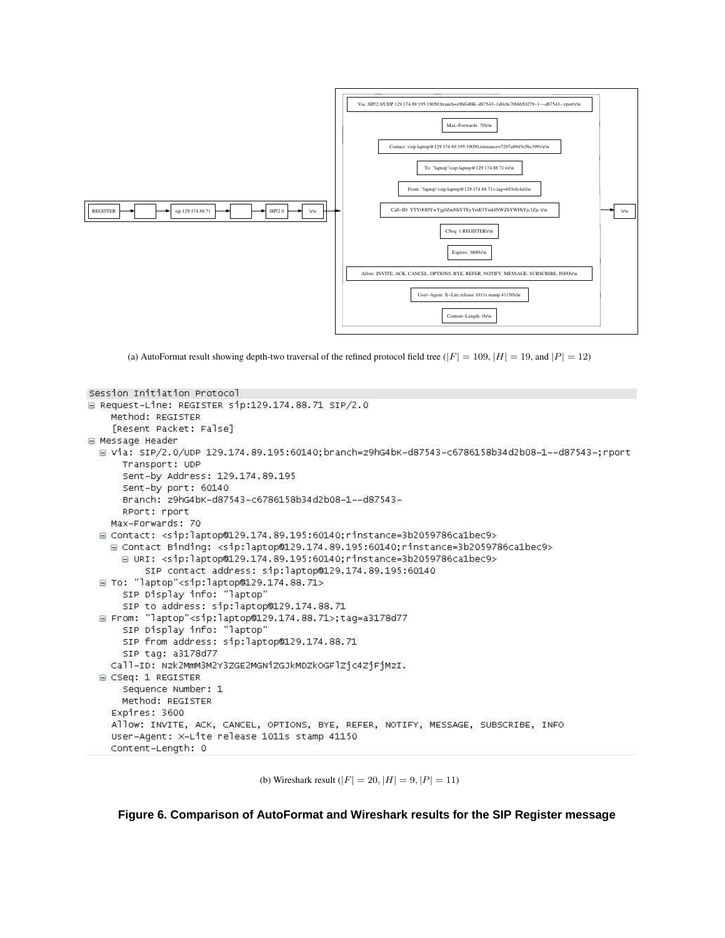

(a) AutoFormat result showing depth-two traversal of the refined protocol field tree ( $|F| = 109$ ,  $|H| = 19$ , and  $|P| = 12$ )

```
Session Initiation Protocol
□ Request-Line: REGISTER sip:129.174.88.71 SIP/2.0
    Method: REGISTER
    [Resent Packet: False]
Message Header
  □ Via: SIP/2.0/UDP 129.174.89.195:60140;branch=z9hG4bK-d87543-c6786158b34d2b08-1--d87543-;rport
      Transport: UDP
      Sent-by Address: 129.174.89.195
      Sent-by port: 60140
      Branch: z9hG4bK-d87543-c6786158b34d2b08-1--d87543-
      RPort: rport
    Max-Forwards: 70
  □ Contact: <sip:laptop@129.174.89.195:60140;rinstance=3b2059786calbec9>
    □ Contact Binding: <sip:laptop@129.174.89.195:60140;rinstance=3b2059786ca1bec9>
      □ URI: <sip:laptop@129.174.89.195:60140;rinstance=3b2059786ca1bec9>
          SIP contact address: sip:laptop@129.174.89.195:60140
  □ To: "laptop"<sip:laptop@129.174.88.71>
      SIP Display info: "laptop"
      SIP to address: sip:laptop@129.174.88.71
  □ From: "laptop"<sip:laptop@129.174.88.71>;tag=a3178d77
      SIP Display info: "laptop"
      SIP from address: sip:laptop@129.174.88.71
      SIP tag: a3178d77
    Call-ID: Nzk2MmM3M2Y3ZGE2MGNiZGJkMDZkOGFlZjc4ZjFjMzI.
  □ CSeq: 1 REGISTER
      Sequence Number: 1
      Method: REGISTER
    Expires: 3600
    Allow: INVITE, ACK, CANCEL, OPTIONS, BYE, REFER, NOTIFY, MESSAGE, SUBSCRIBE, INFO
    User-Agent: X-Lite release 1011s stamp 41150
    Content-Length: 0
```
(b) Wireshark result  $(|F| = 20, |H| = 9, |P| = 11)$ 

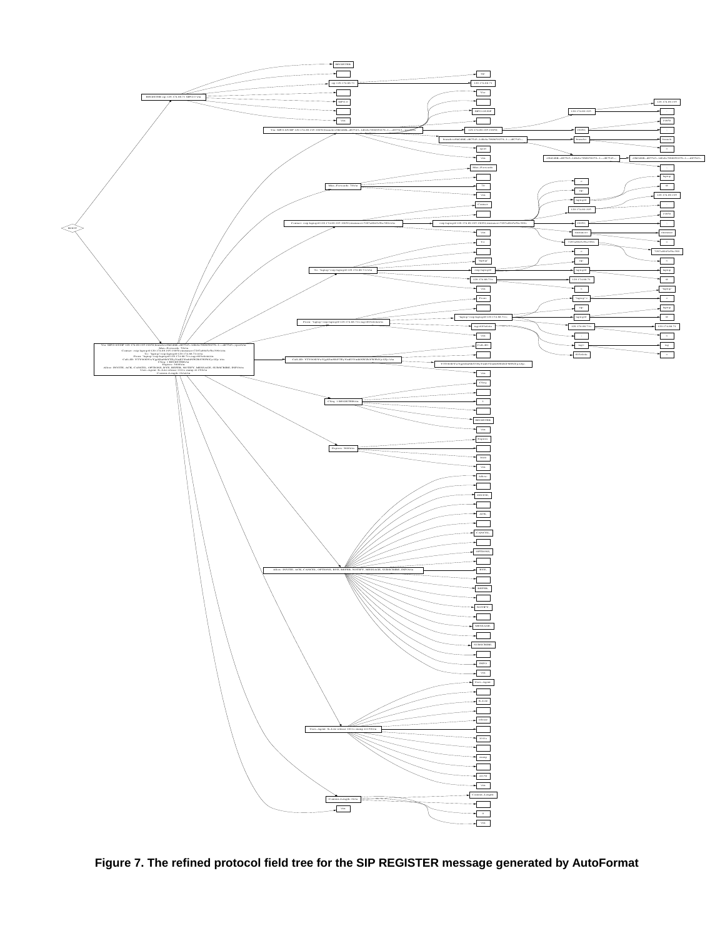

**Figure 7. The refined protocol field tree for the SIP REGISTER message generated by AutoFormat**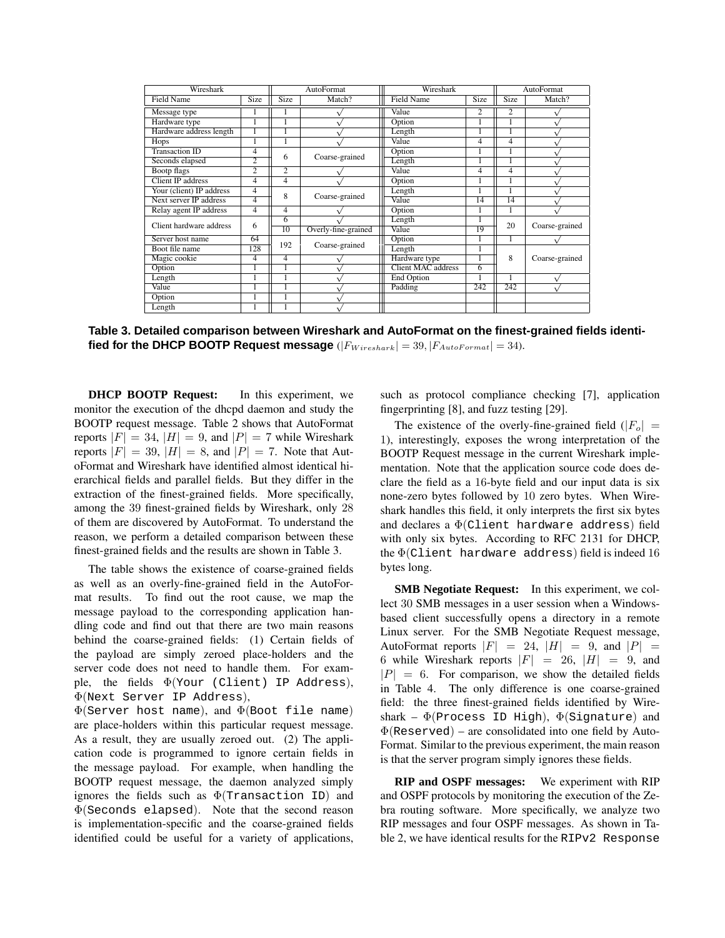| Wireshark                |                |                | AutoFormat          | Wireshark          |                |                 | AutoFormat     |
|--------------------------|----------------|----------------|---------------------|--------------------|----------------|-----------------|----------------|
| <b>Field Name</b>        | Size           | <b>Size</b>    | Match?              | <b>Field Name</b>  | Size           | Size            | Match?         |
| Message type             |                |                |                     | Value              | $\overline{c}$ | $\mathfrak{D}$  |                |
| Hardware type            |                |                |                     | Option             |                |                 |                |
| Hardware address length  |                |                |                     | Length             |                |                 |                |
| Hops                     |                |                |                     | Value              | 4              | 4               |                |
| <b>Transaction ID</b>    | 4              |                |                     | Option             |                |                 |                |
| Seconds elapsed          | 2              | 6              | Coarse-grained      | Length             |                |                 |                |
| Bootp flags              | $\overline{2}$ | $\overline{c}$ |                     | Value              | 4              | 4               |                |
| Client IP address        | 4              | 4              |                     | Option             |                |                 |                |
| Your (client) IP address | 4              | 8              |                     | Length             |                |                 |                |
| Next server IP address   | 4              |                | Coarse-grained      | Value              | 14             | $\overline{14}$ |                |
| Relay agent IP address   | 4              | 4              |                     | Option             |                |                 |                |
| Client hardware address  | 6              | 6              |                     | Length             |                | 20              |                |
|                          |                | 10             | Overly-fine-grained | Value              | 19             |                 | Coarse-grained |
| Server host name         | 64             | 192            |                     | Option             |                |                 |                |
| Boot file name           | 128            |                | Coarse-grained      | Length             |                |                 |                |
| Magic cookie             | 4              | 4              |                     | Hardware type      |                | 8               | Coarse-grained |
| Option                   |                |                |                     | Client MAC address | 6              |                 |                |
| Length                   |                |                |                     | End Option         |                |                 |                |
| Value                    |                |                |                     | Padding            | 242            | 242             |                |
| Option                   |                |                |                     |                    |                |                 |                |
| Length                   |                |                |                     |                    |                |                 |                |

**Table 3. Detailed comparison between Wireshark and AutoFormat on the finest-grained fields identified for the DHCP BOOTP Request message**  $(|F_{Wiresharp}| = 39, |F_{AutoFormat}| = 34)$ .

**DHCP BOOTP Request:** In this experiment, we monitor the execution of the dhcpd daemon and study the BOOTP request message. Table 2 shows that AutoFormat reports  $|F| = 34$ ,  $|H| = 9$ , and  $|P| = 7$  while Wireshark reports  $|F| = 39$ ,  $|H| = 8$ , and  $|P| = 7$ . Note that AutoFormat and Wireshark have identified almost identical hierarchical fields and parallel fields. But they differ in the extraction of the finest-grained fields. More specifically, among the 39 finest-grained fields by Wireshark, only 28 of them are discovered by AutoFormat. To understand the reason, we perform a detailed comparison between these finest-grained fields and the results are shown in Table 3.

The table shows the existence of coarse-grained fields as well as an overly-fine-grained field in the AutoFormat results. To find out the root cause, we map the message payload to the corresponding application handling code and find out that there are two main reasons behind the coarse-grained fields: (1) Certain fields of the payload are simply zeroed place-holders and the server code does not need to handle them. For example, the fields Φ(Your (Client) IP Address), Φ(Next Server IP Address),

 $\Phi$ (Server host name), and  $\Phi$ (Boot file name) are place-holders within this particular request message. As a result, they are usually zeroed out. (2) The application code is programmed to ignore certain fields in the message payload. For example, when handling the BOOTP request message, the daemon analyzed simply ignores the fields such as  $\Phi$ (Transaction ID) and  $\Phi$ (Seconds elapsed). Note that the second reason is implementation-specific and the coarse-grained fields identified could be useful for a variety of applications,

such as protocol compliance checking [7], application fingerprinting [8], and fuzz testing [29].

The existence of the overly-fine-grained field  $(|F_{o}| =$ 1), interestingly, exposes the wrong interpretation of the BOOTP Request message in the current Wireshark implementation. Note that the application source code does declare the field as a 16-byte field and our input data is six none-zero bytes followed by 10 zero bytes. When Wireshark handles this field, it only interprets the first six bytes and declares a  $\Phi$ (Client hardware address) field with only six bytes. According to RFC 2131 for DHCP, the  $\Phi$ (Client hardware address) field is indeed 16 bytes long.

**SMB Negotiate Request:** In this experiment, we collect 30 SMB messages in a user session when a Windowsbased client successfully opens a directory in a remote Linux server. For the SMB Negotiate Request message, AutoFormat reports  $|F| = 24$ ,  $|H| = 9$ , and  $|P| =$ 6 while Wireshark reports  $|F| = 26$ ,  $|H| = 9$ , and  $|P| = 6$ . For comparison, we show the detailed fields in Table 4. The only difference is one coarse-grained field: the three finest-grained fields identified by Wireshark –  $\Phi$ (Process ID High),  $\Phi$ (Signature) and  $\Phi$ (Reserved) – are consolidated into one field by Auto-Format. Similar to the previous experiment, the main reason is that the server program simply ignores these fields.

**RIP and OSPF messages:** We experiment with RIP and OSPF protocols by monitoring the execution of the Zebra routing software. More specifically, we analyze two RIP messages and four OSPF messages. As shown in Table 2, we have identical results for the RIPv2 Response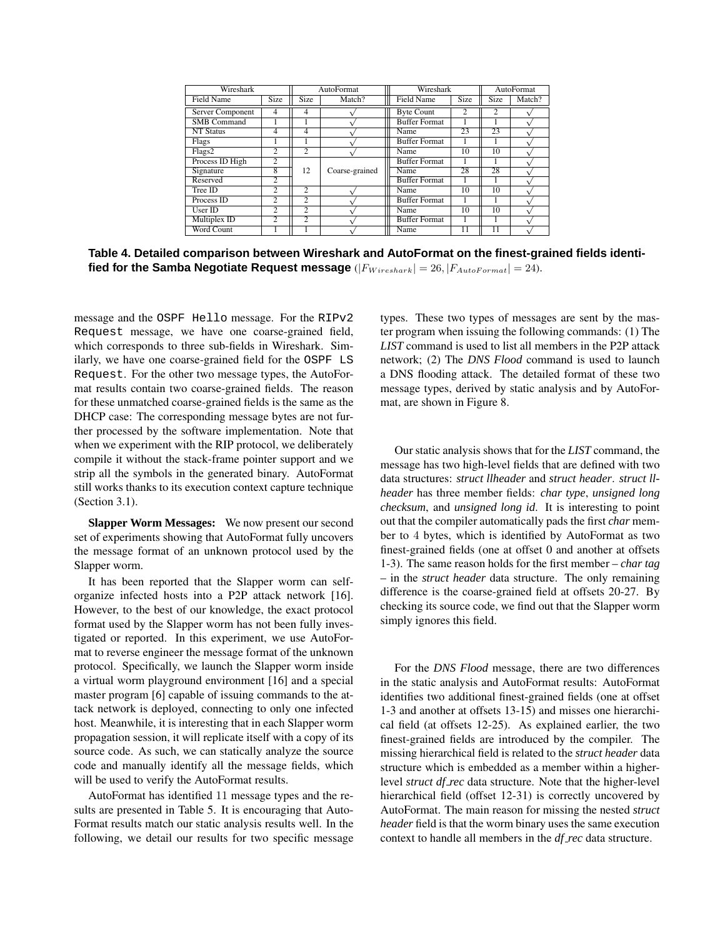| Wireshark          |                |                | AutoFormat     | Wireshark            |                |      | AutoFormat |
|--------------------|----------------|----------------|----------------|----------------------|----------------|------|------------|
| Field Name         | <b>Size</b>    | Size           | Match?         | <b>Field Name</b>    | <b>Size</b>    | Size | Match?     |
| Server Component   | 4              | 4              |                | <b>Byte Count</b>    | $\overline{c}$ | 2    |            |
| <b>SMB</b> Command |                |                |                | <b>Buffer Format</b> |                |      |            |
| <b>NT Status</b>   | 4              | 4              |                | Name                 | 23             | 23   |            |
| Flags              |                |                |                | <b>Buffer Format</b> |                |      |            |
| Flags2             | $\overline{c}$ | $\overline{c}$ |                | Name                 | 10             | 10   |            |
| Process ID High    | 2              |                |                | <b>Buffer Format</b> |                |      |            |
| Signature          | 8              | 12             | Coarse-grained | Name                 | 28             | 28   |            |
| Reserved           | 2              |                |                | <b>Buffer Format</b> |                |      |            |
| Tree ID            | $\overline{c}$ | $\overline{c}$ |                | Name                 | 10             | 10   |            |
| Process ID         | $\overline{c}$ | $\overline{c}$ |                | <b>Buffer Format</b> |                |      |            |
| User ID            | $\overline{c}$ | 2              |                | Name                 | 10             | 10   |            |
| Multiplex ID       | $\overline{c}$ | $\overline{c}$ |                | <b>Buffer Format</b> |                |      |            |
| Word Count         |                |                |                | Name                 | 11             | 11   |            |

**Table 4. Detailed comparison between Wireshark and AutoFormat on the finest-grained fields identified for the Samba Negotiate Request message**  $(|F_{Wireshark}| = 26, |F_{AutoFormat}| = 24)$ .

message and the OSPF Hello message. For the RIPv2 Request message, we have one coarse-grained field, which corresponds to three sub-fields in Wireshark. Similarly, we have one coarse-grained field for the OSPF LS Request. For the other two message types, the AutoFormat results contain two coarse-grained fields. The reason for these unmatched coarse-grained fields is the same as the DHCP case: The corresponding message bytes are not further processed by the software implementation. Note that when we experiment with the RIP protocol, we deliberately compile it without the stack-frame pointer support and we strip all the symbols in the generated binary. AutoFormat still works thanks to its execution context capture technique (Section 3.1).

**Slapper Worm Messages:** We now present our second set of experiments showing that AutoFormat fully uncovers the message format of an unknown protocol used by the Slapper worm.

It has been reported that the Slapper worm can selforganize infected hosts into a P2P attack network [16]. However, to the best of our knowledge, the exact protocol format used by the Slapper worm has not been fully investigated or reported. In this experiment, we use AutoFormat to reverse engineer the message format of the unknown protocol. Specifically, we launch the Slapper worm inside a virtual worm playground environment [16] and a special master program [6] capable of issuing commands to the attack network is deployed, connecting to only one infected host. Meanwhile, it is interesting that in each Slapper worm propagation session, it will replicate itself with a copy of its source code. As such, we can statically analyze the source code and manually identify all the message fields, which will be used to verify the AutoFormat results.

AutoFormat has identified 11 message types and the results are presented in Table 5. It is encouraging that Auto-Format results match our static analysis results well. In the following, we detail our results for two specific message types. These two types of messages are sent by the master program when issuing the following commands: (1) The *LIST* command is used to list all members in the P2P attack network; (2) The *DNS Flood* command is used to launch a DNS flooding attack. The detailed format of these two message types, derived by static analysis and by AutoFormat, are shown in Figure 8.

Our static analysis shows that for the *LIST* command, the message has two high-level fields that are defined with two data structures: *struct llheader* and *struct header*. *struct llheader* has three member fields: *char type*, *unsigned long checksum*, and *unsigned long id*. It is interesting to point out that the compiler automatically pads the first *char* member to 4 bytes, which is identified by AutoFormat as two finest-grained fields (one at offset 0 and another at offsets 1-3). The same reason holds for the first member – *char tag* – in the *struct header* data structure. The only remaining difference is the coarse-grained field at offsets 20-27. By checking its source code, we find out that the Slapper worm simply ignores this field.

For the *DNS Flood* message, there are two differences in the static analysis and AutoFormat results: AutoFormat identifies two additional finest-grained fields (one at offset 1-3 and another at offsets 13-15) and misses one hierarchical field (at offsets 12-25). As explained earlier, the two finest-grained fields are introduced by the compiler. The missing hierarchical field is related to the *struct header* data structure which is embedded as a member within a higherlevel *struct df rec* data structure. Note that the higher-level hierarchical field (offset 12-31) is correctly uncovered by AutoFormat. The main reason for missing the nested *struct header* field is that the worm binary uses the same execution context to handle all members in the *df rec* data structure.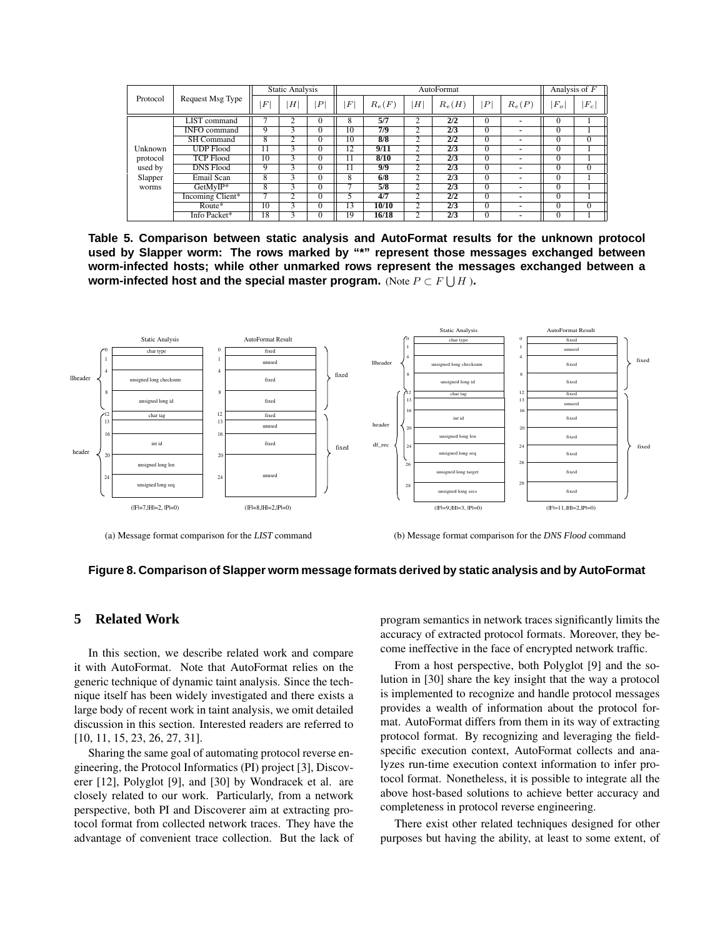|          |                     |                 | <b>Static Analysis</b> |                  |                  |          |                | AutoFormat  |                |                | Analysis of $F$ |          |
|----------|---------------------|-----------------|------------------------|------------------|------------------|----------|----------------|-------------|----------------|----------------|-----------------|----------|
| Protocol | Request Msg Type    | $\,F$           | Η                      | $\boldsymbol{P}$ | $\boldsymbol{F}$ | $R_e(F)$ | H              | $R_e(H)$    | P <sup>1</sup> | $R_e(P)$       | $F_{o}$         | $ F_c $  |
|          | <b>LIST</b> command |                 |                        | $\Omega$         | 8                | 5/7      | $\overline{c}$ | $2\sqrt{2}$ | $\Omega$       | $\blacksquare$ | v               |          |
|          | <b>INFO</b> command |                 |                        | 0                | 10               | 7/9      |                | 2/3         | -0             | $\blacksquare$ | υ               |          |
|          | <b>SH Command</b>   | 8               |                        | $\Omega$         | 10               | 8/8      | C              | 2/2         | $\Omega$       | $\blacksquare$ | $\Omega$        | $\Omega$ |
| Unknown  | <b>UDP</b> Flood    | 11              |                        | $\Omega$         | $^{\circ}2$      | 9/11     | $\overline{c}$ | 2/3         | $\Omega$       | -              | $\theta$        |          |
| protocol | <b>TCP Flood</b>    | 10              |                        | $\Omega$         |                  | 8/10     | $\overline{c}$ | 2/3         | $\Omega$       | -              | $\Omega$        |          |
| used by  | <b>DNS Flood</b>    |                 |                        | $\Omega$         |                  | 9/9      | 2              | 2/3         | $\Omega$       | -              | $\Omega$        | $\theta$ |
| Slapper  | Email Scan          | 8               |                        | $\Omega$         | 8                | 6/8      | $\overline{c}$ | 2/3         | $\Omega$       | ٠              | $\Omega$        |          |
| worms    | GetMyIP*            | ð.              |                        | $\Omega$         |                  | 5/8      | ◠              | 2/3         | $\Omega$       | $\blacksquare$ | $\Omega$        |          |
|          | Incoming Client*    |                 |                        | $\Omega$         |                  | 4/7      | ◠              | 2/2         | $\Omega$       | $\blacksquare$ | $\Omega$        |          |
|          | $Route*$            | $\overline{10}$ |                        | $\Omega$         | 13               | 10/10    | ◠              | 2/3         | $\Omega$       | ٠              | $\Omega$        | $\Omega$ |
|          | Info Packet*        | 18              |                        | $\Omega$         | 19               | 16/18    | $\overline{2}$ | $2\sqrt{3}$ | $\Omega$       |                | $\mathbf{0}$    |          |

**Table 5. Comparison between static analysis and AutoFormat results for the unknown protocol used by Slapper worm: The rows marked by "\*" represent those messages exchanged between worm-infected hosts; while other unmarked rows represent the messages exchanged between a worm-infected host and the special master program.** (Note P ⊂ F S H )**.**



<sup>(</sup>a) Message format comparison for the *LIST* command

(b) Message format comparison for the *DNS Flood* command

## **Figure 8. Comparison of Slapper worm message formats derived by static analysis and by AutoFormat**

## **5 Related Work**

In this section, we describe related work and compare it with AutoFormat. Note that AutoFormat relies on the generic technique of dynamic taint analysis. Since the technique itself has been widely investigated and there exists a large body of recent work in taint analysis, we omit detailed discussion in this section. Interested readers are referred to [10, 11, 15, 23, 26, 27, 31].

Sharing the same goal of automating protocol reverse engineering, the Protocol Informatics (PI) project [3], Discoverer [12], Polyglot [9], and [30] by Wondracek et al. are closely related to our work. Particularly, from a network perspective, both PI and Discoverer aim at extracting protocol format from collected network traces. They have the advantage of convenient trace collection. But the lack of

program semantics in network traces significantly limits the accuracy of extracted protocol formats. Moreover, they become ineffective in the face of encrypted network traffic.

From a host perspective, both Polyglot [9] and the solution in [30] share the key insight that the way a protocol is implemented to recognize and handle protocol messages provides a wealth of information about the protocol format. AutoFormat differs from them in its way of extracting protocol format. By recognizing and leveraging the fieldspecific execution context, AutoFormat collects and analyzes run-time execution context information to infer protocol format. Nonetheless, it is possible to integrate all the above host-based solutions to achieve better accuracy and completeness in protocol reverse engineering.

There exist other related techniques designed for other purposes but having the ability, at least to some extent, of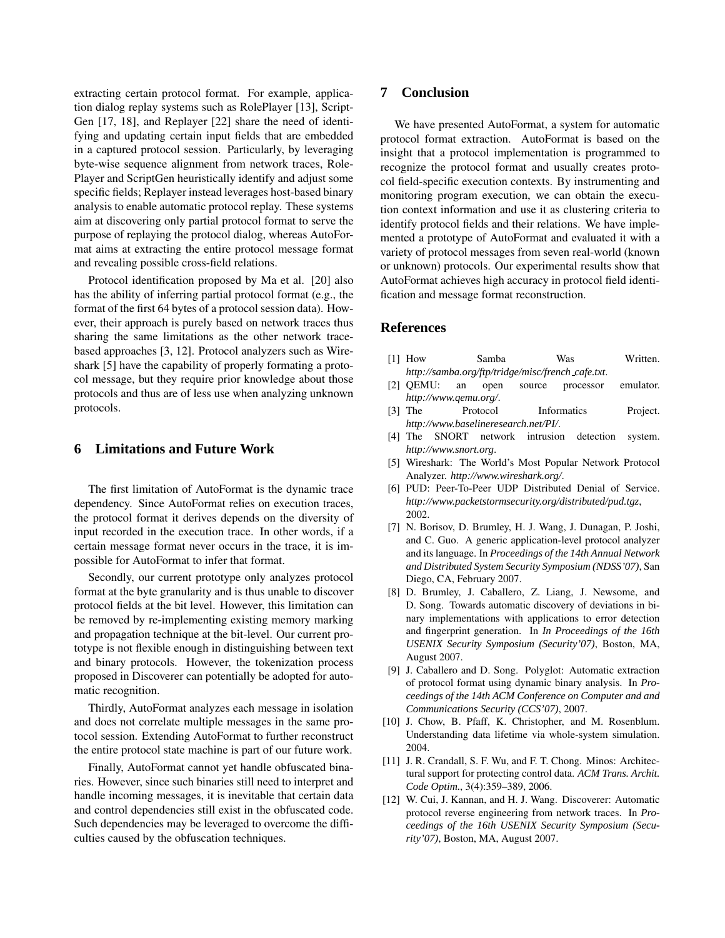extracting certain protocol format. For example, application dialog replay systems such as RolePlayer [13], Script-Gen [17, 18], and Replayer [22] share the need of identifying and updating certain input fields that are embedded in a captured protocol session. Particularly, by leveraging byte-wise sequence alignment from network traces, Role-Player and ScriptGen heuristically identify and adjust some specific fields; Replayer instead leverages host-based binary analysis to enable automatic protocol replay. These systems aim at discovering only partial protocol format to serve the purpose of replaying the protocol dialog, whereas AutoFormat aims at extracting the entire protocol message format and revealing possible cross-field relations.

Protocol identification proposed by Ma et al. [20] also has the ability of inferring partial protocol format (e.g., the format of the first 64 bytes of a protocol session data). However, their approach is purely based on network traces thus sharing the same limitations as the other network tracebased approaches [3, 12]. Protocol analyzers such as Wireshark [5] have the capability of properly formating a protocol message, but they require prior knowledge about those protocols and thus are of less use when analyzing unknown protocols.

## **6 Limitations and Future Work**

The first limitation of AutoFormat is the dynamic trace dependency. Since AutoFormat relies on execution traces, the protocol format it derives depends on the diversity of input recorded in the execution trace. In other words, if a certain message format never occurs in the trace, it is impossible for AutoFormat to infer that format.

Secondly, our current prototype only analyzes protocol format at the byte granularity and is thus unable to discover protocol fields at the bit level. However, this limitation can be removed by re-implementing existing memory marking and propagation technique at the bit-level. Our current prototype is not flexible enough in distinguishing between text and binary protocols. However, the tokenization process proposed in Discoverer can potentially be adopted for automatic recognition.

Thirdly, AutoFormat analyzes each message in isolation and does not correlate multiple messages in the same protocol session. Extending AutoFormat to further reconstruct the entire protocol state machine is part of our future work.

Finally, AutoFormat cannot yet handle obfuscated binaries. However, since such binaries still need to interpret and handle incoming messages, it is inevitable that certain data and control dependencies still exist in the obfuscated code. Such dependencies may be leveraged to overcome the difficulties caused by the obfuscation techniques.

# **7 Conclusion**

We have presented AutoFormat, a system for automatic protocol format extraction. AutoFormat is based on the insight that a protocol implementation is programmed to recognize the protocol format and usually creates protocol field-specific execution contexts. By instrumenting and monitoring program execution, we can obtain the execution context information and use it as clustering criteria to identify protocol fields and their relations. We have implemented a prototype of AutoFormat and evaluated it with a variety of protocol messages from seven real-world (known or unknown) protocols. Our experimental results show that AutoFormat achieves high accuracy in protocol field identification and message format reconstruction.

#### **References**

- [1] How Samba Was Written. *http://samba.org/ftp/tridge/misc/french cafe.txt*.
- [2] QEMU: an open source processor emulator. *http://www.qemu.org/*.
- [3] The Protocol Informatics Project. *http://www.baselineresearch.net/PI/*.
- [4] The SNORT network intrusion detection system. *http://www.snort.org*.
- [5] Wireshark: The World's Most Popular Network Protocol Analyzer. *http://www.wireshark.org/*.
- [6] PUD: Peer-To-Peer UDP Distributed Denial of Service. *http://www.packetstormsecurity.org/distributed/pud.tgz*, 2002.
- [7] N. Borisov, D. Brumley, H. J. Wang, J. Dunagan, P. Joshi, and C. Guo. A generic application-level protocol analyzer and its language. In *Proceedings of the 14th Annual Network and Distributed System Security Symposium (NDSS'07)*, San Diego, CA, February 2007.
- [8] D. Brumley, J. Caballero, Z. Liang, J. Newsome, and D. Song. Towards automatic discovery of deviations in binary implementations with applications to error detection and fingerprint generation. In *In Proceedings of the 16th USENIX Security Symposium (Security'07)*, Boston, MA, August 2007.
- [9] J. Caballero and D. Song. Polyglot: Automatic extraction of protocol format using dynamic binary analysis. In *Proceedings of the 14th ACM Conference on Computer and and Communications Security (CCS'07)*, 2007.
- [10] J. Chow, B. Pfaff, K. Christopher, and M. Rosenblum. Understanding data lifetime via whole-system simulation. 2004.
- [11] J. R. Crandall, S. F. Wu, and F. T. Chong. Minos: Architectural support for protecting control data. *ACM Trans. Archit. Code Optim.*, 3(4):359–389, 2006.
- [12] W. Cui, J. Kannan, and H. J. Wang. Discoverer: Automatic protocol reverse engineering from network traces. In *Proceedings of the 16th USENIX Security Symposium (Security'07)*, Boston, MA, August 2007.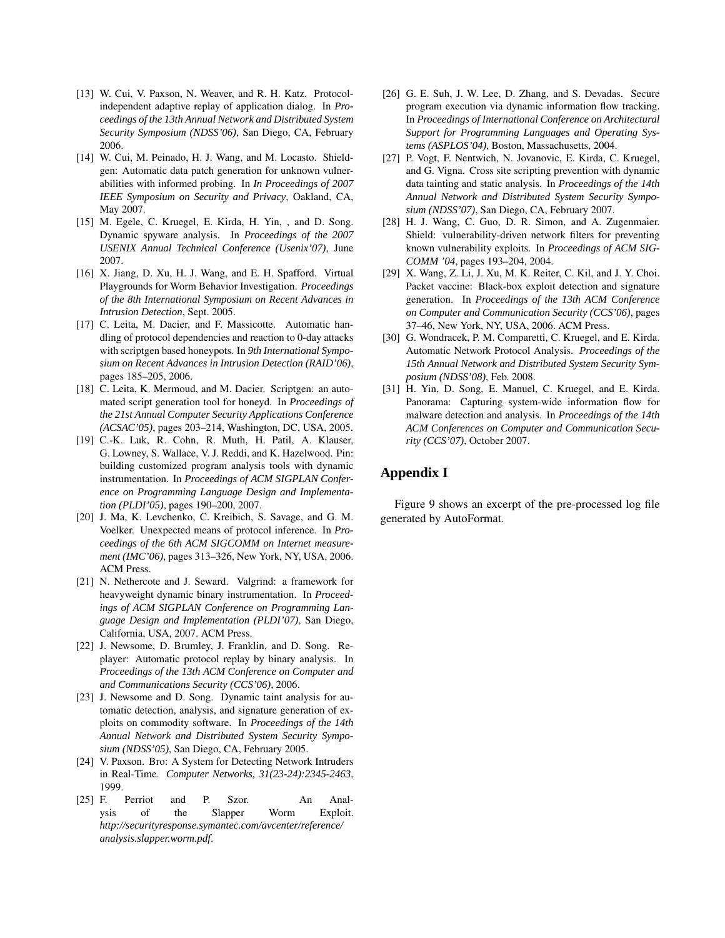- [13] W. Cui, V. Paxson, N. Weaver, and R. H. Katz. Protocolindependent adaptive replay of application dialog. In *Proceedings of the 13th Annual Network and Distributed System Security Symposium (NDSS'06)*, San Diego, CA, February 2006.
- [14] W. Cui, M. Peinado, H. J. Wang, and M. Locasto. Shieldgen: Automatic data patch generation for unknown vulnerabilities with informed probing. In *In Proceedings of 2007 IEEE Symposium on Security and Privacy*, Oakland, CA, May 2007.
- [15] M. Egele, C. Kruegel, E. Kirda, H. Yin, , and D. Song. Dynamic spyware analysis. In *Proceedings of the 2007 USENIX Annual Technical Conference (Usenix'07)*, June 2007.
- [16] X. Jiang, D. Xu, H. J. Wang, and E. H. Spafford. Virtual Playgrounds for Worm Behavior Investigation. *Proceedings of the 8th International Symposium on Recent Advances in Intrusion Detection*, Sept. 2005.
- [17] C. Leita, M. Dacier, and F. Massicotte. Automatic handling of protocol dependencies and reaction to 0-day attacks with scriptgen based honeypots. In *9th International Symposium on Recent Advances in Intrusion Detection (RAID'06)*, pages 185–205, 2006.
- [18] C. Leita, K. Mermoud, and M. Dacier. Scriptgen: an automated script generation tool for honeyd. In *Proceedings of the 21st Annual Computer Security Applications Conference (ACSAC'05)*, pages 203–214, Washington, DC, USA, 2005.
- [19] C.-K. Luk, R. Cohn, R. Muth, H. Patil, A. Klauser, G. Lowney, S. Wallace, V. J. Reddi, and K. Hazelwood. Pin: building customized program analysis tools with dynamic instrumentation. In *Proceedings of ACM SIGPLAN Conference on Programming Language Design and Implementation (PLDI'05)*, pages 190–200, 2007.
- [20] J. Ma, K. Levchenko, C. Kreibich, S. Savage, and G. M. Voelker. Unexpected means of protocol inference. In *Proceedings of the 6th ACM SIGCOMM on Internet measurement (IMC'06)*, pages 313–326, New York, NY, USA, 2006. ACM Press.
- [21] N. Nethercote and J. Seward. Valgrind: a framework for heavyweight dynamic binary instrumentation. In *Proceedings of ACM SIGPLAN Conference on Programming Language Design and Implementation (PLDI'07)*, San Diego, California, USA, 2007. ACM Press.
- [22] J. Newsome, D. Brumley, J. Franklin, and D. Song. Replayer: Automatic protocol replay by binary analysis. In *Proceedings of the 13th ACM Conference on Computer and and Communications Security (CCS'06)*, 2006.
- [23] J. Newsome and D. Song. Dynamic taint analysis for automatic detection, analysis, and signature generation of exploits on commodity software. In *Proceedings of the 14th Annual Network and Distributed System Security Symposium (NDSS'05)*, San Diego, CA, February 2005.
- [24] V. Paxson. Bro: A System for Detecting Network Intruders in Real-Time. *Computer Networks, 31(23-24):2345-2463*, 1999.
- [25] F. Perriot and P. Szor. An Analysis of the Slapper Worm Exploit. *http://securityresponse.symantec.com/avcenter/reference/ analysis.slapper.worm.pdf*.
- [26] G. E. Suh, J. W. Lee, D. Zhang, and S. Devadas. Secure program execution via dynamic information flow tracking. In *Proceedings of International Conference on Architectural Support for Programming Languages and Operating Systems (ASPLOS'04)*, Boston, Massachusetts, 2004.
- [27] P. Vogt, F. Nentwich, N. Jovanovic, E. Kirda, C. Kruegel, and G. Vigna. Cross site scripting prevention with dynamic data tainting and static analysis. In *Proceedings of the 14th Annual Network and Distributed System Security Symposium (NDSS'07)*, San Diego, CA, February 2007.
- [28] H. J. Wang, C. Guo, D. R. Simon, and A. Zugenmaier. Shield: vulnerability-driven network filters for preventing known vulnerability exploits. In *Proceedings of ACM SIG-COMM '04*, pages 193–204, 2004.
- [29] X. Wang, Z. Li, J. Xu, M. K. Reiter, C. Kil, and J. Y. Choi. Packet vaccine: Black-box exploit detection and signature generation. In *Proceedings of the 13th ACM Conference on Computer and Communication Security (CCS'06)*, pages 37–46, New York, NY, USA, 2006. ACM Press.
- [30] G. Wondracek, P. M. Comparetti, C. Kruegel, and E. Kirda. Automatic Network Protocol Analysis. *Proceedings of the 15th Annual Network and Distributed System Security Symposium (NDSS'08)*, Feb. 2008.
- [31] H. Yin, D. Song, E. Manuel, C. Kruegel, and E. Kirda. Panorama: Capturing system-wide information flow for malware detection and analysis. In *Proceedings of the 14th ACM Conferences on Computer and Communication Security (CCS'07)*, October 2007.

## **Appendix I**

Figure 9 shows an excerpt of the pre-processed log file generated by AutoFormat.